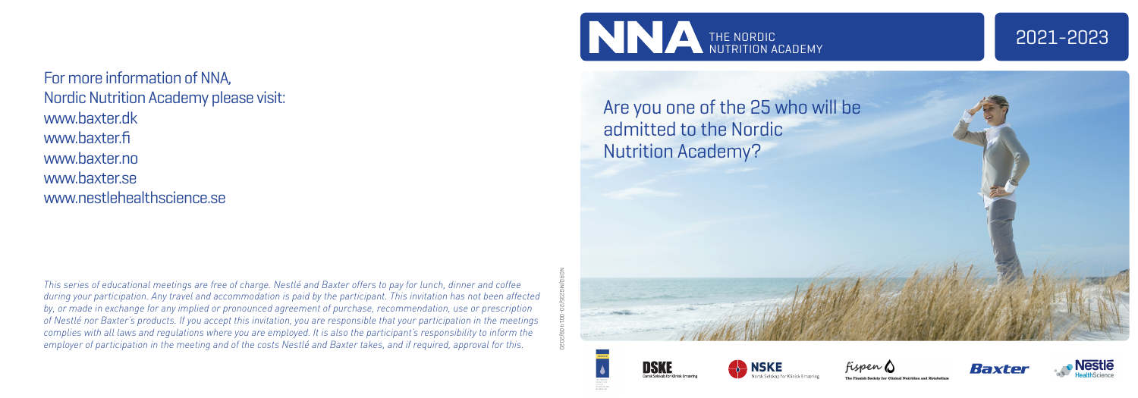## Are you one of the 25 who will be admitted to the Nordic Nutrition Academy?



For more information of NNA, Nordic Nutrition Academy please visit: www.baxter.dk www.baxter.fi www.baxter.no www.baxter.se www.nestlehealthscience.se

*This series of educational meetings are free of charge. Nestlé and Baxter offers to pay for lunch, dinner and coffee during your participation. Any travel and accommodation is paid by the participant. This invitation has not been affected by, or made in exchange for any implied or pronounced agreement of purchase, recommendation, use or prescription of Nestlé nor Baxter's products. If you accept this invitation, you are responsible that your participation in the meetings complies with all laws and regulations where you are employed. It is also the participant's responsibility to inform the employer of participation in the meeting and of the costs Nestlé and Baxter takes, and if required, approval for this.* 









DSKE







NORD/MG235/20-0014 09/2020